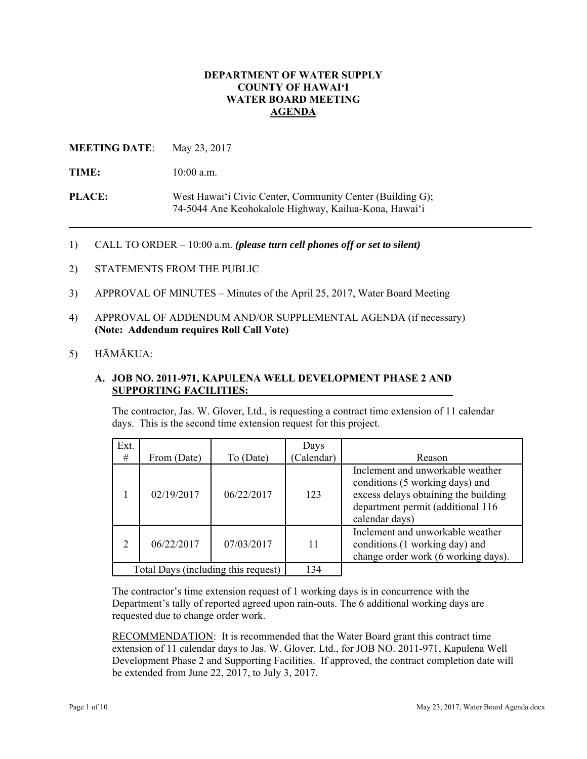# **DEPARTMENT OF WATER SUPPLY COUNTY OF HAWAI'I WATER BOARD MEETING AGENDA**

# **MEETING DATE:** May 23, 2017

TIME:  $10:00$  a.m.

**PLACE:** West Hawai'i Civic Center, Community Center (Building G); 74-5044 Ane Keohokalole Highway, Kailua-Kona, Hawai'i

1) CALL TO ORDER – 10:00 a.m. *(please turn cell phones off or set to silent)*

- 2) STATEMENTS FROM THE PUBLIC
- 3) APPROVAL OF MINUTES Minutes of the April 25, 2017, Water Board Meeting
- 4) APPROVAL OF ADDENDUM AND/OR SUPPLEMENTAL AGENDA (if necessary) **(Note: Addendum requires Roll Call Vote)**

# 5) HĀMĀKUA:

#### **A. JOB NO. 2011-971, KAPULENA WELL DEVELOPMENT PHASE 2 AND SUPPORTING FACILITIES:**

The contractor, Jas. W. Glover, Ltd., is requesting a contract time extension of 11 calendar days. This is the second time extension request for this project.

| Ext.                                |             |            | Days       |                                                                                                                                                                    |
|-------------------------------------|-------------|------------|------------|--------------------------------------------------------------------------------------------------------------------------------------------------------------------|
| #                                   | From (Date) | To (Date)  | (Calendar) | Reason                                                                                                                                                             |
|                                     | 02/19/2017  | 06/22/2017 | 123        | Inclement and unworkable weather<br>conditions (5 working days) and<br>excess delays obtaining the building<br>department permit (additional 116<br>calendar days) |
| 2                                   | 06/22/2017  | 07/03/2017 | 11         | Inclement and unworkable weather<br>conditions (1 working day) and<br>change order work (6 working days).                                                          |
| Total Days (including this request) |             | 134        |            |                                                                                                                                                                    |

The contractor's time extension request of 1 working days is in concurrence with the Department's tally of reported agreed upon rain-outs. The 6 additional working days are requested due to change order work.

 be extended from June 22, 2017, to July 3, 2017. RECOMMENDATION: It is recommended that the Water Board grant this contract time extension of 11 calendar days to Jas. W. Glover, Ltd., for JOB NO. 2011-971, Kapulena Well Development Phase 2 and Supporting Facilities. If approved, the contract completion date will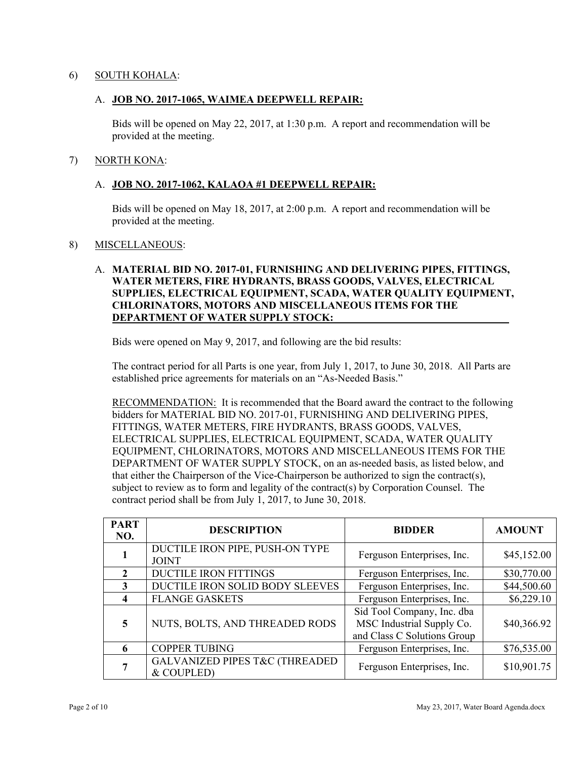# 6) SOUTH KOHALA:

### A. **JOB NO. 2017-1065, WAIMEA DEEPWELL REPAIR:**

Bids will be opened on May 22, 2017, at 1:30 p.m. A report and recommendation will be provided at the meeting.

#### 7) NORTH KONA:

# A. **JOB NO. 2017-1062, KALAOA #1 DEEPWELL REPAIR:**

Bids will be opened on May 18, 2017, at 2:00 p.m. A report and recommendation will be provided at the meeting.

#### 8) MISCELLANEOUS:

# A. **MATERIAL BID NO. 2017-01, FURNISHING AND DELIVERING PIPES, FITTINGS, WATER METERS, FIRE HYDRANTS, BRASS GOODS, VALVES, ELECTRICAL SUPPLIES, ELECTRICAL EQUIPMENT, SCADA, WATER QUALITY EQUIPMENT, CHLORINATORS, MOTORS AND MISCELLANEOUS ITEMS FOR THE DEPARTMENT OF WATER SUPPLY STOCK:**

Bids were opened on May 9, 2017, and following are the bid results:

The contract period for all Parts is one year, from July 1, 2017, to June 30, 2018. All Parts are established price agreements for materials on an "As-Needed Basis."

**RECOMMENDATION:** It is recommended that the Board award the contract to the following bidders for MATERIAL BID NO. 2017-01, FURNISHING AND DELIVERING PIPES, FITTINGS, WATER METERS, FIRE HYDRANTS, BRASS GOODS, VALVES, ELECTRICAL SUPPLIES, ELECTRICAL EQUIPMENT, SCADA, WATER QUALITY EQUIPMENT, CHLORINATORS, MOTORS AND MISCELLANEOUS ITEMS FOR THE DEPARTMENT OF WATER SUPPLY STOCK, on an as-needed basis, as listed below, and that either the Chairperson of the Vice-Chairperson be authorized to sign the contract(s), subject to review as to form and legality of the contract(s) by Corporation Counsel. The contract period shall be from July 1, 2017, to June 30, 2018.

| <b>PART</b><br>NO. | <b>DESCRIPTION</b>                                       | <b>BIDDER</b>                                                                          | <b>AMOUNT</b> |
|--------------------|----------------------------------------------------------|----------------------------------------------------------------------------------------|---------------|
|                    | DUCTILE IRON PIPE, PUSH-ON TYPE<br><b>JOINT</b>          | Ferguson Enterprises, Inc.                                                             | \$45,152.00   |
|                    | <b>DUCTILE IRON FITTINGS</b>                             | Ferguson Enterprises, Inc.                                                             | \$30,770.00   |
| 3                  | DUCTILE IRON SOLID BODY SLEEVES                          | Ferguson Enterprises, Inc.                                                             | \$44,500.60   |
| Δ                  | <b>FLANGE GASKETS</b>                                    | Ferguson Enterprises, Inc.                                                             | \$6,229.10    |
| 5                  | NUTS, BOLTS, AND THREADED RODS                           | Sid Tool Company, Inc. dba<br>MSC Industrial Supply Co.<br>and Class C Solutions Group | \$40,366.92   |
|                    | <b>COPPER TUBING</b>                                     | Ferguson Enterprises, Inc.                                                             | \$76,535.00   |
|                    | <b>GALVANIZED PIPES T&amp;C (THREADED)</b><br>& COUPLED) | Ferguson Enterprises, Inc.                                                             | \$10,901.75   |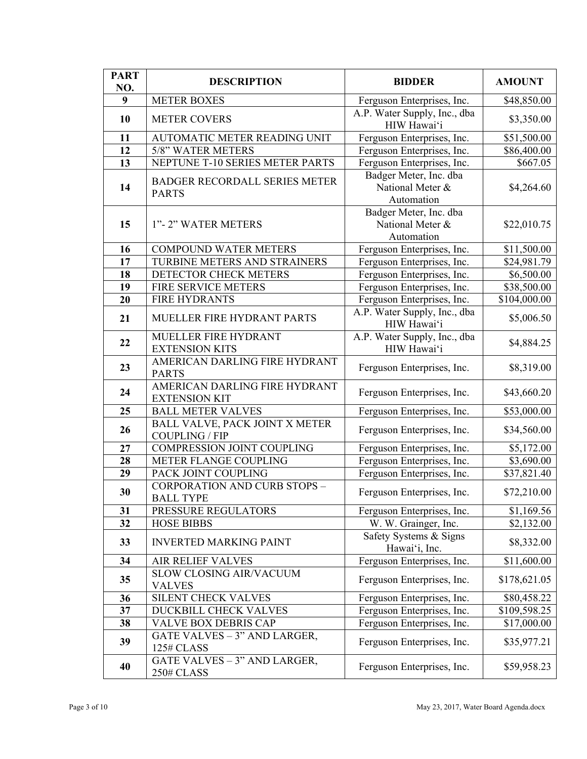| <b>PART</b><br>NO. | <b>DESCRIPTION</b>                                      | <b>BIDDER</b>                                            | <b>AMOUNT</b> |
|--------------------|---------------------------------------------------------|----------------------------------------------------------|---------------|
| 9                  | <b>METER BOXES</b>                                      | Ferguson Enterprises, Inc.                               | \$48,850.00   |
| 10                 | <b>METER COVERS</b>                                     | A.P. Water Supply, Inc., dba<br>HIW Hawai'i              | \$3,350.00    |
| 11                 | AUTOMATIC METER READING UNIT                            | Ferguson Enterprises, Inc.                               | \$51,500.00   |
| 12                 | 5/8" WATER METERS                                       | Ferguson Enterprises, Inc.                               | \$86,400.00   |
| 13                 | NEPTUNE T-10 SERIES METER PARTS                         | Ferguson Enterprises, Inc.                               | \$667.05      |
| 14                 | <b>BADGER RECORDALL SERIES METER</b><br><b>PARTS</b>    | Badger Meter, Inc. dba<br>National Meter &<br>Automation | \$4,264.60    |
| 15                 | 1"-2" WATER METERS                                      | Badger Meter, Inc. dba<br>National Meter &<br>Automation | \$22,010.75   |
| 16                 | <b>COMPOUND WATER METERS</b>                            | Ferguson Enterprises, Inc.                               | \$11,500.00   |
| 17                 | TURBINE METERS AND STRAINERS                            | Ferguson Enterprises, Inc.                               | \$24,981.79   |
| 18                 | DETECTOR CHECK METERS                                   | Ferguson Enterprises, Inc.                               | \$6,500.00    |
| 19                 | FIRE SERVICE METERS                                     | Ferguson Enterprises, Inc.                               | \$38,500.00   |
| 20                 | <b>FIRE HYDRANTS</b>                                    | Ferguson Enterprises, Inc.                               | \$104,000.00  |
| 21                 | MUELLER FIRE HYDRANT PARTS                              | A.P. Water Supply, Inc., dba<br>HIW Hawai'i              | \$5,006.50    |
| 22                 | MUELLER FIRE HYDRANT<br><b>EXTENSION KITS</b>           | A.P. Water Supply, Inc., dba<br>HIW Hawai'i              | \$4,884.25    |
| 23                 | AMERICAN DARLING FIRE HYDRANT<br><b>PARTS</b>           | Ferguson Enterprises, Inc.                               | \$8,319.00    |
| 24                 | AMERICAN DARLING FIRE HYDRANT<br><b>EXTENSION KIT</b>   | Ferguson Enterprises, Inc.                               | \$43,660.20   |
| 25                 | <b>BALL METER VALVES</b>                                | Ferguson Enterprises, Inc.                               | \$53,000.00   |
| 26                 | BALL VALVE, PACK JOINT X METER<br><b>COUPLING / FIP</b> | Ferguson Enterprises, Inc.                               | \$34,560.00   |
| 27                 | COMPRESSION JOINT COUPLING                              | Ferguson Enterprises, Inc.                               | \$5,172.00    |
| 28                 | METER FLANGE COUPLING                                   | Ferguson Enterprises, Inc.                               | \$3,690.00    |
| 29                 | PACK JOINT COUPLING                                     | Ferguson Enterprises, Inc.                               | \$37,821.40   |
| 30                 | <b>CORPORATION AND CURB STOPS -</b><br><b>BALL TYPE</b> | Ferguson Enterprises, Inc.                               | \$72,210.00   |
| 31                 | PRESSURE REGULATORS                                     | Ferguson Enterprises, Inc.                               | \$1,169.56    |
| 32                 | <b>HOSE BIBBS</b>                                       | W. W. Grainger, Inc.                                     | \$2,132.00    |
| 33                 | <b>INVERTED MARKING PAINT</b>                           | Safety Systems & Signs<br>Hawai'i, Inc.                  | \$8,332.00    |
| 34                 | <b>AIR RELIEF VALVES</b>                                | Ferguson Enterprises, Inc.                               | \$11,600.00   |
| 35                 | SLOW CLOSING AIR/VACUUM<br><b>VALVES</b>                | Ferguson Enterprises, Inc.                               | \$178,621.05  |
| 36                 | <b>SILENT CHECK VALVES</b>                              | Ferguson Enterprises, Inc.                               | \$80,458.22   |
| 37                 | DUCKBILL CHECK VALVES                                   | Ferguson Enterprises, Inc.                               | \$109,598.25  |
| 38                 | <b>VALVE BOX DEBRIS CAP</b>                             | Ferguson Enterprises, Inc.                               | \$17,000.00   |
| 39                 | GATE VALVES - 3" AND LARGER,<br>125# CLASS              | Ferguson Enterprises, Inc.                               | \$35,977.21   |
| 40                 | GATE VALVES - 3" AND LARGER,<br>250# CLASS              | Ferguson Enterprises, Inc.                               | \$59,958.23   |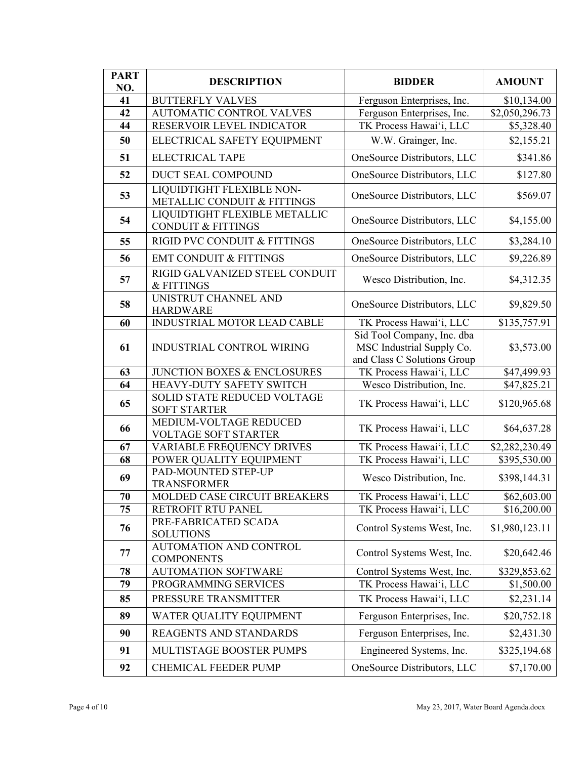| <b>PART</b> | <b>DESCRIPTION</b>                                             | <b>BIDDER</b>                                                                          | <b>AMOUNT</b>                 |
|-------------|----------------------------------------------------------------|----------------------------------------------------------------------------------------|-------------------------------|
| NO.<br>41   |                                                                |                                                                                        |                               |
| 42          | <b>BUTTERFLY VALVES</b><br><b>AUTOMATIC CONTROL VALVES</b>     | Ferguson Enterprises, Inc.<br>Ferguson Enterprises, Inc.                               | \$10,134.00<br>\$2,050,296.73 |
| 44          | RESERVOIR LEVEL INDICATOR                                      | TK Process Hawai'i, LLC                                                                | \$5,328.40                    |
| 50          | ELECTRICAL SAFETY EQUIPMENT                                    | W.W. Grainger, Inc.                                                                    | \$2,155.21                    |
| 51          | <b>ELECTRICAL TAPE</b>                                         | OneSource Distributors, LLC                                                            | \$341.86                      |
| 52          | DUCT SEAL COMPOUND                                             | OneSource Distributors, LLC                                                            | \$127.80                      |
|             |                                                                |                                                                                        |                               |
| 53          | LIQUIDTIGHT FLEXIBLE NON-<br>METALLIC CONDUIT & FITTINGS       | OneSource Distributors, LLC                                                            | \$569.07                      |
| 54          | LIQUIDTIGHT FLEXIBLE METALLIC<br><b>CONDUIT &amp; FITTINGS</b> | OneSource Distributors, LLC                                                            | \$4,155.00                    |
| 55          | RIGID PVC CONDUIT & FITTINGS                                   | OneSource Distributors, LLC                                                            | \$3,284.10                    |
| 56          | <b>EMT CONDUIT &amp; FITTINGS</b>                              | OneSource Distributors, LLC                                                            | \$9,226.89                    |
| 57          | RIGID GALVANIZED STEEL CONDUIT<br>& FITTINGS                   | Wesco Distribution, Inc.                                                               | \$4,312.35                    |
| 58          | UNISTRUT CHANNEL AND<br><b>HARDWARE</b>                        | OneSource Distributors, LLC                                                            | \$9,829.50                    |
| 60          | INDUSTRIAL MOTOR LEAD CABLE                                    | TK Process Hawai'i, LLC                                                                | \$135,757.91                  |
| 61          | INDUSTRIAL CONTROL WIRING                                      | Sid Tool Company, Inc. dba<br>MSC Industrial Supply Co.<br>and Class C Solutions Group | \$3,573.00                    |
| 63          | JUNCTION BOXES & ENCLOSURES                                    | TK Process Hawai'i, LLC                                                                | \$47,499.93                   |
| 64          | HEAVY-DUTY SAFETY SWITCH                                       | Wesco Distribution, Inc.                                                               | \$47,825.21                   |
| 65          | SOLID STATE REDUCED VOLTAGE<br><b>SOFT STARTER</b>             | TK Process Hawai'i, LLC                                                                | \$120,965.68                  |
| 66          | MEDIUM-VOLTAGE REDUCED<br><b>VOLTAGE SOFT STARTER</b>          | TK Process Hawai'i, LLC                                                                | \$64,637.28                   |
| 67          | <b>VARIABLE FREQUENCY DRIVES</b>                               | TK Process Hawai'i, LLC                                                                | \$2,282,230.49                |
| 68          | POWER QUALITY EQUIPMENT                                        | TK Process Hawai'i, LLC                                                                | \$395,530.00                  |
| 69          | PAD-MOUNTED STEP-UP<br><b>TRANSFORMER</b>                      | Wesco Distribution, Inc.                                                               | \$398,144.31                  |
| 70          | MOLDED CASE CIRCUIT BREAKERS                                   | TK Process Hawai'i, LLC                                                                | \$62,603.00                   |
| 75          | RETROFIT RTU PANEL                                             | TK Process Hawai'i, LLC                                                                | \$16,200.00                   |
| 76          | PRE-FABRICATED SCADA<br><b>SOLUTIONS</b>                       | Control Systems West, Inc.                                                             | \$1,980,123.11                |
| 77          | AUTOMATION AND CONTROL<br><b>COMPONENTS</b>                    | Control Systems West, Inc.                                                             | \$20,642.46                   |
| 78          | <b>AUTOMATION SOFTWARE</b>                                     | Control Systems West, Inc.                                                             | \$329,853.62                  |
| 79          | PROGRAMMING SERVICES                                           | TK Process Hawai'i, LLC                                                                | \$1,500.00                    |
| 85          | PRESSURE TRANSMITTER                                           | TK Process Hawai'i, LLC                                                                | \$2,231.14                    |
| 89          | WATER QUALITY EQUIPMENT                                        | Ferguson Enterprises, Inc.                                                             | \$20,752.18                   |
| 90          | REAGENTS AND STANDARDS                                         | Ferguson Enterprises, Inc.                                                             | \$2,431.30                    |
| 91          | MULTISTAGE BOOSTER PUMPS                                       | Engineered Systems, Inc.                                                               | \$325,194.68                  |
| 92          | CHEMICAL FEEDER PUMP                                           | OneSource Distributors, LLC                                                            | \$7,170.00                    |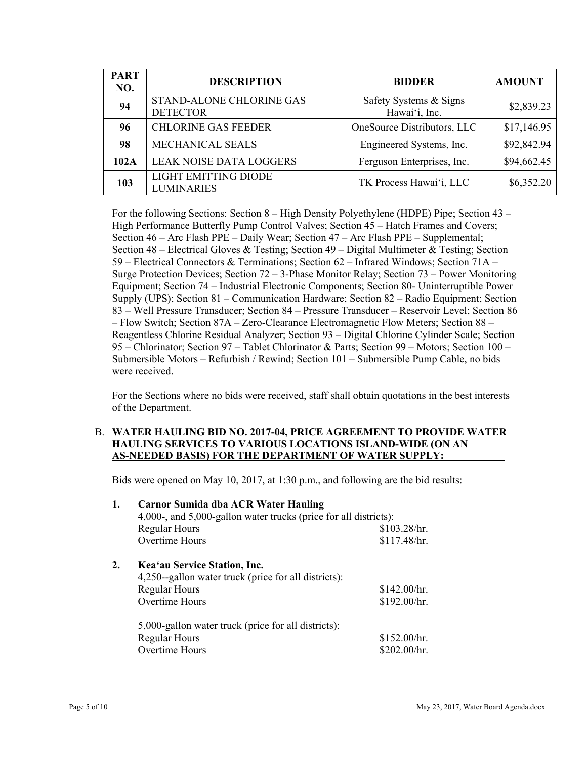| <b>PART</b><br>NO. | <b>DESCRIPTION</b>                               | <b>BIDDER</b>                              | <b>AMOUNT</b> |  |
|--------------------|--------------------------------------------------|--------------------------------------------|---------------|--|
| 94                 | STAND-ALONE CHLORINE GAS<br><b>DETECTOR</b>      | Safety Systems & Signs<br>Hawai'i, Inc.    | \$2,839.23    |  |
| 96                 | <b>CHLORINE GAS FEEDER</b>                       | OneSource Distributors, LLC<br>\$17,146.95 |               |  |
| 98                 | MECHANICAL SEALS                                 | Engineered Systems, Inc.                   | \$92,842.94   |  |
| 102A               | <b>LEAK NOISE DATA LOGGERS</b>                   | Ferguson Enterprises, Inc.                 | \$94,662.45   |  |
| 103                | <b>LIGHT EMITTING DIODE</b><br><b>LUMINARIES</b> | TK Process Hawai'i, LLC                    | \$6,352.20    |  |

For the following Sections: Section 8 – High Density Polyethylene (HDPE) Pipe; Section 43 – High Performance Butterfly Pump Control Valves; Section 45 – Hatch Frames and Covers; Section 46 – Arc Flash PPE – Daily Wear; Section 47 – Arc Flash PPE – Supplemental; Section 48 – Electrical Gloves & Testing; Section 49 – Digital Multimeter & Testing; Section 59 – Electrical Connectors & Terminations; Section 62 – Infrared Windows; Section 71A – Surge Protection Devices; Section 72 – 3-Phase Monitor Relay; Section 73 – Power Monitoring Equipment; Section 74 – Industrial Electronic Components; Section 80- Uninterruptible Power Supply (UPS); Section 81 – Communication Hardware; Section 82 – Radio Equipment; Section 83 – Well Pressure Transducer; Section 84 – Pressure Transducer – Reservoir Level; Section 86 – Flow Switch; Section 87A – Zero-Clearance Electromagnetic Flow Meters; Section 88 – Reagentless Chlorine Residual Analyzer; Section 93 – Digital Chlorine Cylinder Scale; Section 95 – Chlorinator; Section 97 – Tablet Chlorinator & Parts; Section 99 – Motors; Section 100 – Submersible Motors – Refurbish / Rewind; Section 101 – Submersible Pump Cable, no bids were received.

For the Sections where no bids were received, staff shall obtain quotations in the best interests of the Department.

#### B. WATER HAULING BID NO. 2017-04, PRICE AGREEMENT TO PROVIDE WATER **HAULING SERVICES TO VARIOUS LOCATIONS ISLAND-WIDE (ON AN AS-NEEDED BASIS) FOR THE DEPARTMENT OF WATER SUPPLY:**

Bids were opened on May 10, 2017, at 1:30 p.m., and following are the bid results:

| 1. | <b>Carnor Sumida dba ACR Water Hauling</b><br>4,000-, and 5,000-gallon water trucks (price for all districts): |              |  |  |  |  |
|----|----------------------------------------------------------------------------------------------------------------|--------------|--|--|--|--|
|    |                                                                                                                |              |  |  |  |  |
|    | <b>Regular Hours</b>                                                                                           | \$103.28/hr. |  |  |  |  |
|    | Overtime Hours                                                                                                 | \$117.48/hr. |  |  |  |  |
| 2. | Kea'au Service Station, Inc.                                                                                   |              |  |  |  |  |
|    | 4,250-gallon water truck (price for all districts):                                                            |              |  |  |  |  |
|    | <b>Regular Hours</b>                                                                                           | \$142.00/hr. |  |  |  |  |
|    | Overtime Hours                                                                                                 | \$192.00/hr. |  |  |  |  |
|    | 5,000-gallon water truck (price for all districts):                                                            |              |  |  |  |  |
|    | <b>Regular Hours</b>                                                                                           | \$152.00/hr. |  |  |  |  |
|    | Overtime Hours                                                                                                 | \$202.00/hr. |  |  |  |  |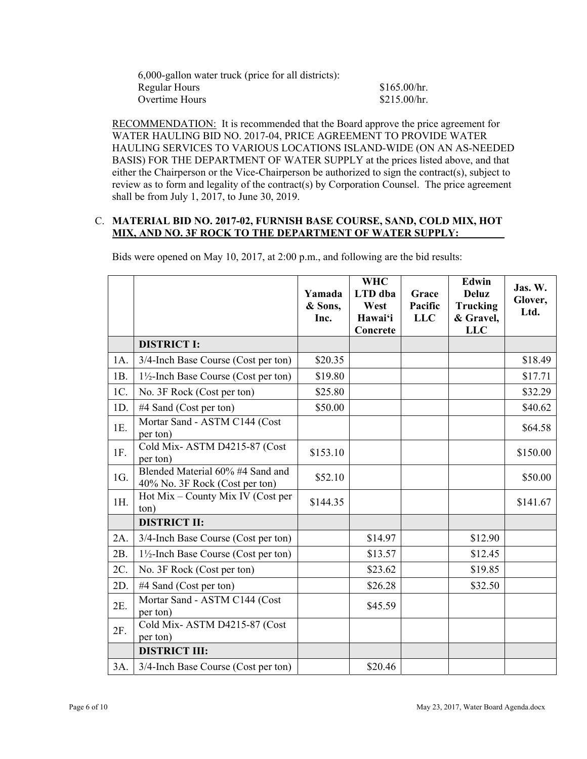| 6,000-gallon water truck (price for all districts): |              |
|-----------------------------------------------------|--------------|
| Regular Hours                                       | \$165.00/hr. |
| Overtime Hours                                      | \$215.00/hr. |

RECOMMENDATION: It is recommended that the Board approve the price agreement for WATER HAULING BID NO. 2017-04, PRICE AGREEMENT TO PROVIDE WATER HAULING SERVICES TO VARIOUS LOCATIONS ISLAND-WIDE (ON AN AS-NEEDED BASIS) FOR THE DEPARTMENT OF WATER SUPPLY at the prices listed above, and that either the Chairperson or the Vice-Chairperson be authorized to sign the contract(s), subject to review as to form and legality of the contract(s) by Corporation Counsel. The price agreement shall be from July 1, 2017, to June 30, 2019.

### C. **MATERIAL BID NO. 2017-02, FURNISH BASE COURSE, SAND, COLD MIX, HOT MIX, AND NO. 3F ROCK TO THE DEPARTMENT OF WATER SUPPLY:**

|        |                                                                    | Yamada<br>& Sons,<br>Inc. | <b>WHC</b><br>LTD dba<br>West<br>Hawai'i<br>Concrete | Grace<br>Pacific<br><b>LLC</b> | Edwin<br><b>Deluz</b><br><b>Trucking</b><br>& Gravel,<br><b>LLC</b> | Jas. W.<br>Glover,<br>Ltd. |
|--------|--------------------------------------------------------------------|---------------------------|------------------------------------------------------|--------------------------------|---------------------------------------------------------------------|----------------------------|
|        | <b>DISTRICT I:</b>                                                 |                           |                                                      |                                |                                                                     |                            |
| 1A.    | 3/4-Inch Base Course (Cost per ton)                                | \$20.35                   |                                                      |                                |                                                                     | \$18.49                    |
| 1B.    | $1\frac{1}{2}$ -Inch Base Course (Cost per ton)                    | \$19.80                   |                                                      |                                |                                                                     | \$17.71                    |
| 1C.    | No. 3F Rock (Cost per ton)                                         | \$25.80                   |                                                      |                                |                                                                     | \$32.29                    |
| 1D.    | #4 Sand (Cost per ton)                                             | \$50.00                   |                                                      |                                |                                                                     | \$40.62                    |
| 1E.    | Mortar Sand - ASTM C144 (Cost<br>per ton)                          |                           |                                                      |                                |                                                                     | \$64.58                    |
| 1F.    | Cold Mix-ASTM D4215-87 (Cost<br>per ton)                           | \$153.10                  |                                                      |                                |                                                                     | \$150.00                   |
| 1G.    | Blended Material 60% #4 Sand and<br>40% No. 3F Rock (Cost per ton) | \$52.10                   |                                                      |                                |                                                                     | \$50.00                    |
| 1H.    | Hot Mix – County Mix IV (Cost per<br>ton)                          | \$144.35                  |                                                      |                                |                                                                     | \$141.67                   |
|        | <b>DISTRICT II:</b>                                                |                           |                                                      |                                |                                                                     |                            |
| $2A$ . | 3/4-Inch Base Course (Cost per ton)                                |                           | \$14.97                                              |                                | \$12.90                                                             |                            |
| 2B.    | $1\frac{1}{2}$ -Inch Base Course (Cost per ton)                    |                           | \$13.57                                              |                                | \$12.45                                                             |                            |
| 2C.    | No. 3F Rock (Cost per ton)                                         |                           | \$23.62                                              |                                | \$19.85                                                             |                            |
| 2D.    | #4 Sand (Cost per ton)                                             |                           | \$26.28                                              |                                | \$32.50                                                             |                            |
| 2E.    | Mortar Sand - ASTM C144 (Cost<br>per ton)                          |                           | \$45.59                                              |                                |                                                                     |                            |
| 2F.    | Cold Mix-ASTM D4215-87 (Cost<br>per ton)                           |                           |                                                      |                                |                                                                     |                            |
|        | <b>DISTRICT III:</b>                                               |                           |                                                      |                                |                                                                     |                            |
| 3A.    | 3/4-Inch Base Course (Cost per ton)                                |                           | \$20.46                                              |                                |                                                                     |                            |

Bids were opened on May 10, 2017, at 2:00 p.m., and following are the bid results: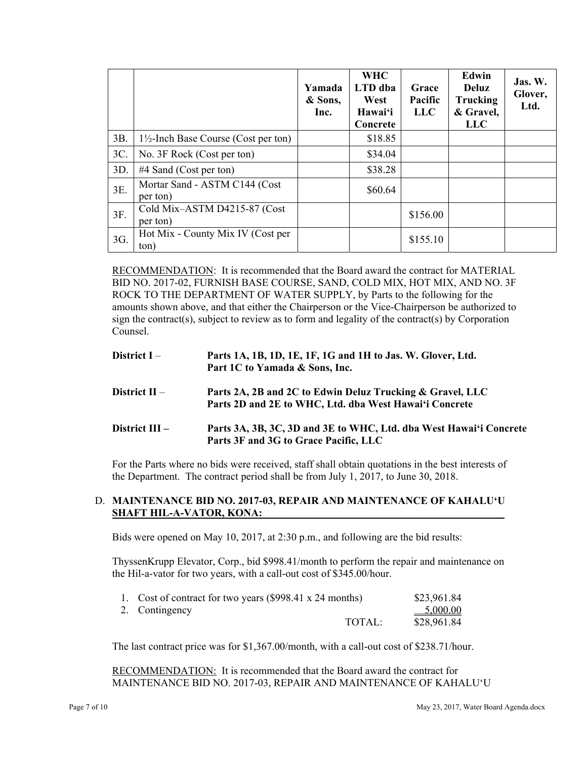|     |                                                 | Yamada<br>& Sons,<br>Inc. | <b>WHC</b><br>LTD dba<br>West<br>Hawai'i<br>Concrete | Grace<br>Pacific<br><b>LLC</b> | <b>Edwin</b><br><b>Deluz</b><br>Trucking<br>& Gravel,<br><b>LLC</b> | Jas. W.<br>Glover,<br>Ltd. |
|-----|-------------------------------------------------|---------------------------|------------------------------------------------------|--------------------------------|---------------------------------------------------------------------|----------------------------|
| 3B. | $1\frac{1}{2}$ -Inch Base Course (Cost per ton) |                           | \$18.85                                              |                                |                                                                     |                            |
| 3C. | No. 3F Rock (Cost per ton)                      |                           | \$34.04                                              |                                |                                                                     |                            |
| 3D. | $#4$ Sand (Cost per ton)                        |                           | \$38.28                                              |                                |                                                                     |                            |
| 3E. | Mortar Sand - ASTM C144 (Cost<br>per ton)       |                           | \$60.64                                              |                                |                                                                     |                            |
| 3F. | Cold Mix-ASTM D4215-87 (Cost<br>per ton)        |                           |                                                      | \$156.00                       |                                                                     |                            |
| 3G. | Hot Mix - County Mix IV (Cost per<br>ton)       |                           |                                                      | \$155.10                       |                                                                     |                            |

RECOMMENDATION: It is recommended that the Board award the contract for MATERIAL BID NO. 2017-02, FURNISH BASE COURSE, SAND, COLD MIX, HOT MIX, AND NO. 3F ROCK TO THE DEPARTMENT OF WATER SUPPLY, by Parts to the following for the amounts shown above, and that either the Chairperson or the Vice-Chairperson be authorized to sign the contract(s), subject to review as to form and legality of the contract(s) by Corporation Counsel.

- **District I Parts 1A, 1B, 1D, 1E, 1F, 1G and 1H to Jas. W. Glover, Ltd. Part 1C to Yamada & Sons, Inc.**
- **District II Parts 2A, 2B and 2C to Edwin Deluz Trucking & Gravel, LLC Parts 2D and 2E to WHC, Ltd. dba West Hawai'i Concrete**
- **District III** Parts 3A, 3B, 3C, 3D and 3E to WHC, Ltd. dba West Hawai'i Concrete **Parts 3F and 3G to Grace Pacific, LLC**

For the Parts where no bids were received, staff shall obtain quotations in the best interests of the Department. The contract period shall be from July 1, 2017, to June 30, 2018.

# D. **MAINTENANCE BID NO. 2017-03, REPAIR AND MAINTENANCE OF KAHALUʻU SHAFT HIL-A-VATOR, KONA:**

Bids were opened on May 10, 2017, at 2:30 p.m., and following are the bid results:

ThyssenKrupp Elevator, Corp., bid \$998.41/month to perform the repair and maintenance on the Hil-a-vator for two years, with a call-out cost of \$345.00/hour.

| 1. Cost of contract for two years (\$998.41 x 24 months) |        | \$23,961.84 |
|----------------------------------------------------------|--------|-------------|
| 2. Contingency                                           |        | $-5,000.00$ |
|                                                          | TOTAL: | \$28,961.84 |

The last contract price was for \$1,367.00/month, with a call-out cost of \$238.71/hour.

RECOMMENDATION: It is recommended that the Board award the contract for MAINTENANCE BID NO. 2017-03, REPAIR AND MAINTENANCE OF KAHALU'U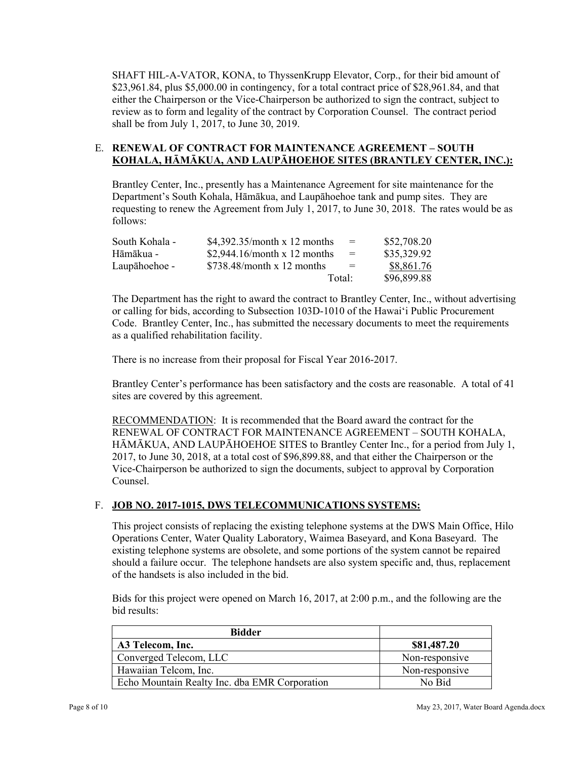SHAFT HIL-A-VATOR, KONA, to ThyssenKrupp Elevator, Corp., for their bid amount of \$23,961.84, plus \$5,000.00 in contingency, for a total contract price of \$28,961.84, and that either the Chairperson or the Vice-Chairperson be authorized to sign the contract, subject to review as to form and legality of the contract by Corporation Counsel. The contract period shall be from July 1, 2017, to June 30, 2019.

# E. **RENEWAL OF CONTRACT FOR MAINTENANCE AGREEMENT – SOUTH KOHALA, HĀMĀKUA, AND LAUPĀHOEHOE SITES (BRANTLEY CENTER, INC.):**

Brantley Center, Inc., presently has a Maintenance Agreement for site maintenance for the Department's South Kohala, Hāmākua, and Laupāhoehoe tank and pump sites. They are requesting to renew the Agreement from July 1, 2017, to June 30, 2018. The rates would be as follows:

| South Kohala - | \$4,392.35/month x 12 months | $=$ | \$52,708.20 |
|----------------|------------------------------|-----|-------------|
| Hāmākua -      | \$2,944.16/month x 12 months | $=$ | \$35,329.92 |
| Laupāhoehoe -  | \$738.48/month x 12 months   | $=$ | \$8,861.76  |
|                | Total:                       |     | \$96,899.88 |

The Department has the right to award the contract to Brantley Center, Inc., without advertising or calling for bids, according to Subsection 103D-1010 of the Hawai'i Public Procurement Code. Brantley Center, Inc., has submitted the necessary documents to meet the requirements as a qualified rehabilitation facility.

There is no increase from their proposal for Fiscal Year 2016-2017.

Brantley Center's performance has been satisfactory and the costs are reasonable. A total of 41 sites are covered by this agreement.

RECOMMENDATION: It is recommended that the Board award the contract for the RENEWAL OF CONTRACT FOR MAINTENANCE AGREEMENT – SOUTH KOHALA, HĀMĀKUA, AND LAUPĀHOEHOE SITES to Brantley Center Inc., for a period from July 1, 2017, to June 30, 2018, at a total cost of \$96,899.88, and that either the Chairperson or the Vice-Chairperson be authorized to sign the documents, subject to approval by Corporation Counsel.

# F. **JOB NO. 2017-1015, DWS TELECOMMUNICATIONS SYSTEMS:**

This project consists of replacing the existing telephone systems at the DWS Main Office, Hilo Operations Center, Water Quality Laboratory, Waimea Baseyard, and Kona Baseyard. The existing telephone systems are obsolete, and some portions of the system cannot be repaired should a failure occur. The telephone handsets are also system specific and, thus, replacement of the handsets is also included in the bid.

Bids for this project were opened on March 16, 2017, at 2:00 p.m., and the following are the bid results:

| <b>Bidder</b>                                 |                |
|-----------------------------------------------|----------------|
| A3 Telecom, Inc.                              | \$81,487.20    |
| Converged Telecom, LLC                        | Non-responsive |
| Hawaiian Telcom, Inc.                         | Non-responsive |
| Echo Mountain Realty Inc. dba EMR Corporation | No Bid         |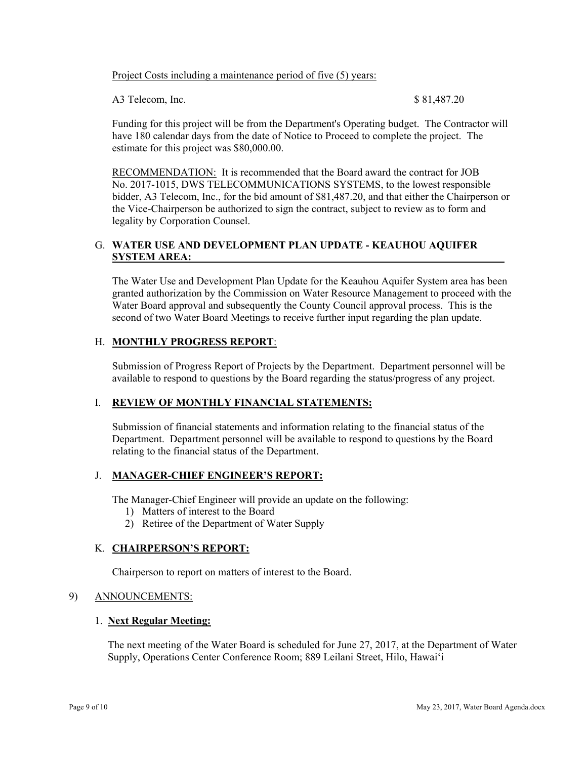#### Project Costs including a maintenance period of five (5) years:

A3 Telecom, Inc. \$ 81,487.20

Funding for this project will be from the Department's Operating budget. The Contractor will have 180 calendar days from the date of Notice to Proceed to complete the project. The estimate for this project was \$80,000.00.

RECOMMENDATION: It is recommended that the Board award the contract for JOB No. 2017-1015, DWS TELECOMMUNICATIONS SYSTEMS, to the lowest responsible bidder, A3 Telecom, Inc., for the bid amount of \$81,487.20, and that either the Chairperson or the Vice-Chairperson be authorized to sign the contract, subject to review as to form and legality by Corporation Counsel.

# G. **WATER USE AND DEVELOPMENT PLAN UPDATE - KEAUHOU AQUIFER SYSTEM AREA:**

The Water Use and Development Plan Update for the Keauhou Aquifer System area has been granted authorization by the Commission on Water Resource Management to proceed with the Water Board approval and subsequently the County Council approval process. This is the second of two Water Board Meetings to receive further input regarding the plan update.

# H. **MONTHLY PROGRESS REPORT**:

Submission of Progress Report of Projects by the Department. Department personnel will be available to respond to questions by the Board regarding the status/progress of any project.

# I. **REVIEW OF MONTHLY FINANCIAL STATEMENTS:**

Submission of financial statements and information relating to the financial status of the Department. Department personnel will be available to respond to questions by the Board relating to the financial status of the Department.

# J. **MANAGER-CHIEF ENGINEER'S REPORT:**

The Manager-Chief Engineer will provide an update on the following:

- 1) Matters of interest to the Board
- 2) Retiree of the Department of Water Supply

# K. **CHAIRPERSON'S REPORT:**

Chairperson to report on matters of interest to the Board.

#### 9) ANNOUNCEMENTS:

#### 1. **Next Regular Meeting:**

The next meeting of the Water Board is scheduled for June 27, 2017, at the Department of Water Supply, Operations Center Conference Room; 889 Leilani Street, Hilo, Hawai'i